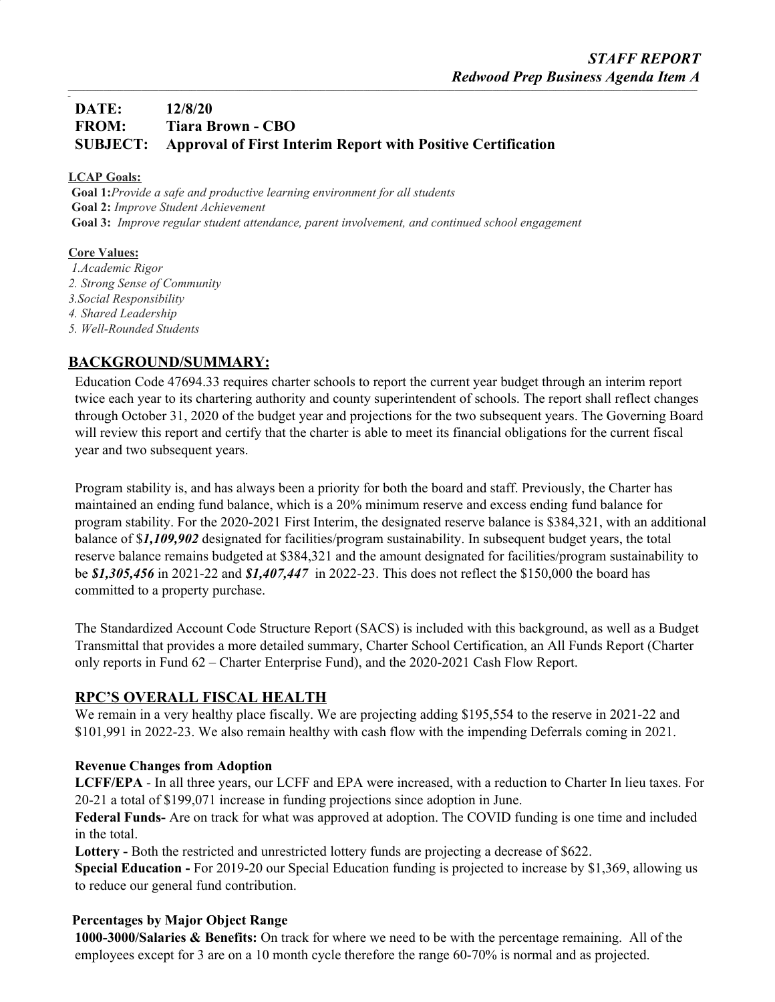## **DATE: 12/8/20 FROM: Tiara Brown - CBO SUBJECT: Approval of First Interim Report with Positive Certification**

### **LCAP Goals:**

*\_*

**Goal 1:***Provide a safe and productive learning environment for all students* **Goal 2:** *Improve Student Achievement* **Goal 3:** *Improve regular student attendance, parent involvement, and continued school engagement*

### **Core Values:**

*1.Academic Rigor 2. Strong Sense of Community 3.Social Responsibility 4. Shared Leadership 5. Well-Rounded Students*

### **BACKGROUND/SUMMARY:**

Education Code 47694.33 requires charter schools to report the current year budget through an interim report twice each year to its chartering authority and county superintendent of schools. The report shall reflect changes through October 31, 2020 of the budget year and projections for the two subsequent years. The Governing Board will review this report and certify that the charter is able to meet its financial obligations for the current fiscal year and two subsequent years.

Program stability is, and has always been a priority for both the board and staff. Previously, the Charter has maintained an ending fund balance, which is a 20% minimum reserve and excess ending fund balance for program stability. For the 2020-2021 First Interim, the designated reserve balance is \$384,321, with an additional balance of \$*1,109,902* designated for facilities/program sustainability. In subsequent budget years, the total reserve balance remains budgeted at \$384,321 and the amount designated for facilities/program sustainability to be *\$1,305,456* in 2021-22 and *\$1,407,447* in 2022-23. This does not reflect the \$150,000 the board has committed to a property purchase.

The Standardized Account Code Structure Report (SACS) is included with this background, as well as a Budget Transmittal that provides a more detailed summary, Charter School Certification, an All Funds Report (Charter only reports in Fund 62 – Charter Enterprise Fund), and the 2020-2021 Cash Flow Report.

### **RPC'S OVERALL FISCAL HEALTH**

We remain in a very healthy place fiscally. We are projecting adding \$195,554 to the reserve in 2021-22 and \$101,991 in 2022-23. We also remain healthy with cash flow with the impending Deferrals coming in 2021.

### **Revenue Changes from Adoption**

**LCFF/EPA** - In all three years, our LCFF and EPA were increased, with a reduction to Charter In lieu taxes. For 20-21 a total of \$199,071 increase in funding projections since adoption in June.

**Federal Funds-** Are on track for what was approved at adoption. The COVID funding is one time and included in the total.

**Lottery -** Both the restricted and unrestricted lottery funds are projecting a decrease of \$622.

**Special Education -** For 2019-20 our Special Education funding is projected to increase by \$1,369, allowing us to reduce our general fund contribution.

### **Percentages by Major Object Range**

**1000-3000/Salaries & Benefits:** On track for where we need to be with the percentage remaining. All of the employees except for 3 are on a 10 month cycle therefore the range 60-70% is normal and as projected.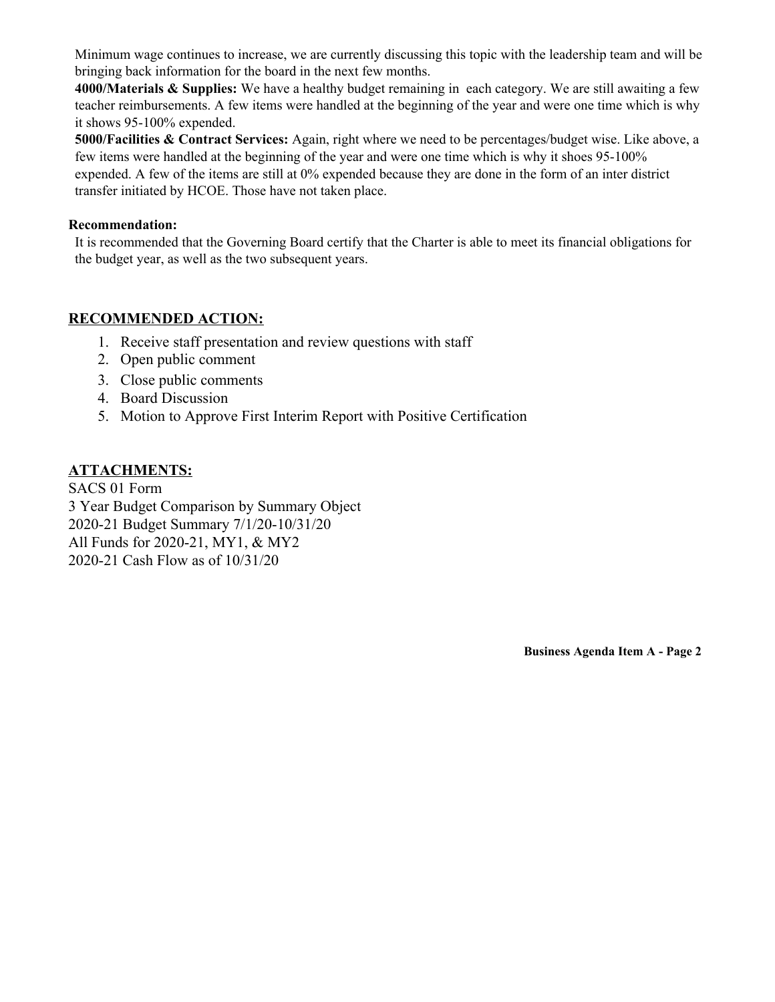Minimum wage continues to increase, we are currently discussing this topic with the leadership team and will be bringing back information for the board in the next few months.

**4000/Materials & Supplies:** We have a healthy budget remaining in each category. We are still awaiting a few teacher reimbursements. A few items were handled at the beginning of the year and were one time which is why it shows 95-100% expended.

**5000/Facilities & Contract Services:** Again, right where we need to be percentages/budget wise. Like above, a few items were handled at the beginning of the year and were one time which is why it shoes 95-100% expended. A few of the items are still at 0% expended because they are done in the form of an inter district transfer initiated by HCOE. Those have not taken place.

### **Recommendation:**

It is recommended that the Governing Board certify that the Charter is able to meet its financial obligations for the budget year, as well as the two subsequent years.

### **RECOMMENDED ACTION:**

- 1. Receive staff presentation and review questions with staff
- 2. Open public comment
- 3. Close public comments
- 4. Board Discussion
- 5. Motion to Approve First Interim Report with Positive Certification

### **ATTACHMENTS:**

SACS 01 Form 3 Year Budget Comparison by Summary Object 2020-21 Budget Summary 7/1/20-10/31/20 All Funds for 2020-21, MY1, & MY2 2020-21 Cash Flow as of 10/31/20

**Business Agenda Item A - Page 2**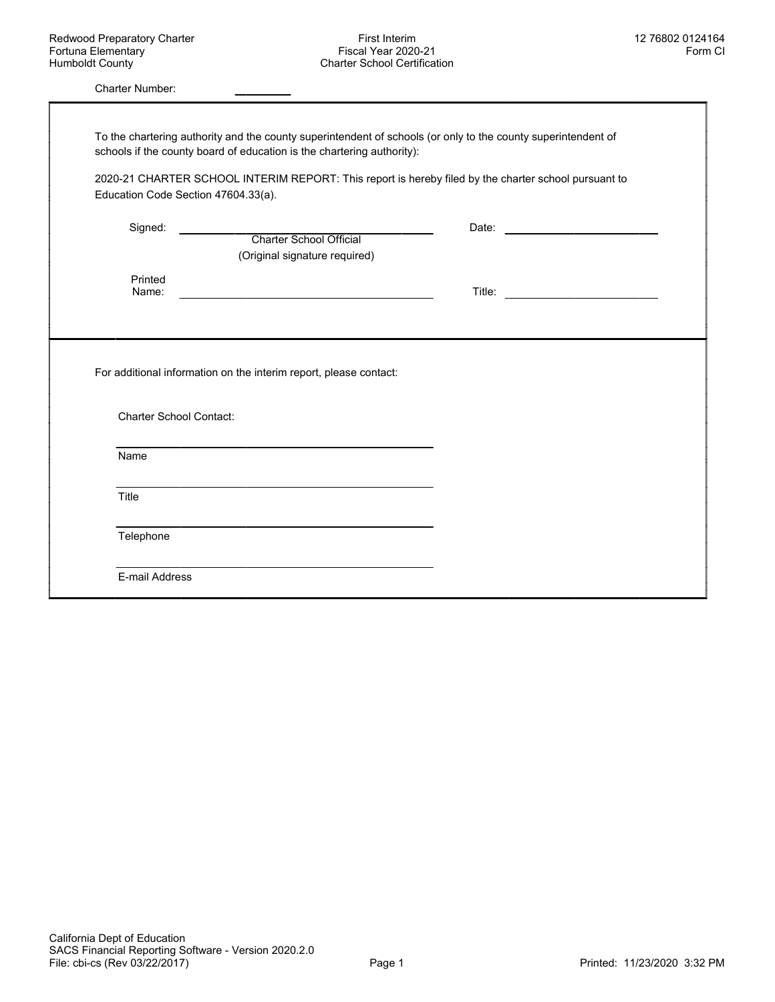Charter Number:

|                                | Education Code Section 47604.33(a).                               | 2020-21 CHARTER SCHOOL INTERIM REPORT: This report is hereby filed by the charter school pursuant to |  |
|--------------------------------|-------------------------------------------------------------------|------------------------------------------------------------------------------------------------------|--|
|                                |                                                                   |                                                                                                      |  |
| Signed:                        | Charter School Official                                           |                                                                                                      |  |
|                                | (Original signature required)                                     |                                                                                                      |  |
| Printed                        |                                                                   |                                                                                                      |  |
| Name:                          |                                                                   |                                                                                                      |  |
|                                |                                                                   |                                                                                                      |  |
|                                |                                                                   |                                                                                                      |  |
| <b>Charter School Contact:</b> | For additional information on the interim report, please contact: |                                                                                                      |  |
| Name                           |                                                                   |                                                                                                      |  |
| Title                          |                                                                   |                                                                                                      |  |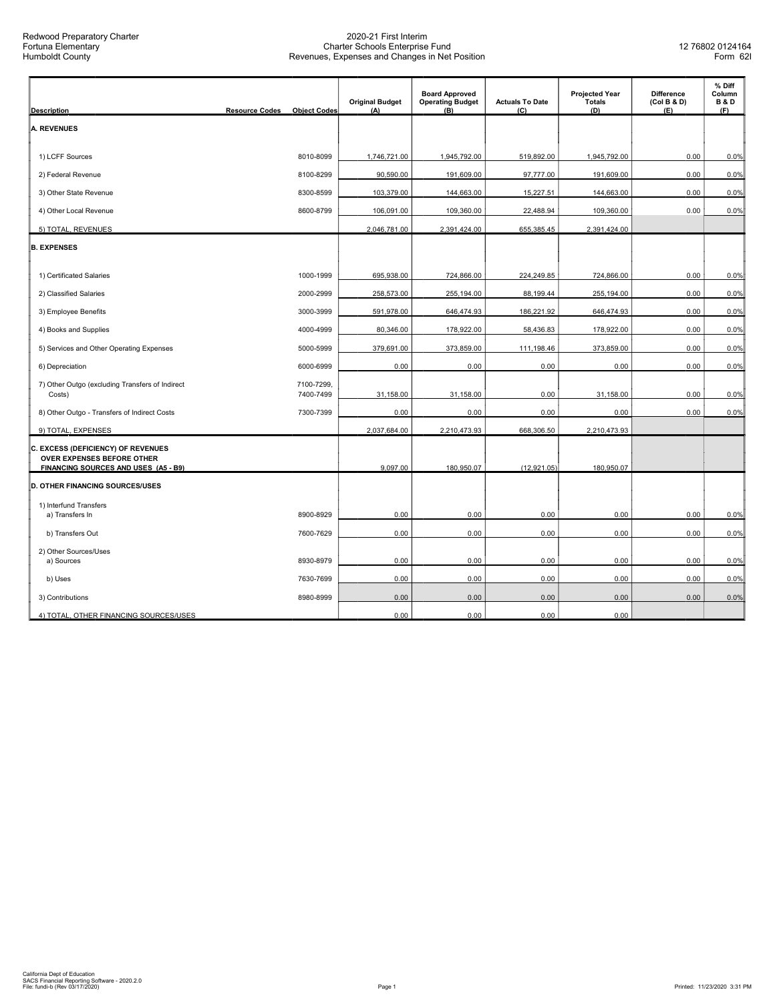| <b>Description</b>                                                             | <b>Resource Codes</b><br><b>Object Codes</b> | <b>Original Budget</b><br>(A) | <b>Board Approved</b><br><b>Operating Budget</b><br>(B) | <b>Actuals To Date</b><br>(C) | <b>Projected Year</b><br><b>Totals</b><br>(D) | <b>Difference</b><br>(Col B & D)<br>(E) | % Diff<br>Column<br><b>B&amp;D</b><br>(F) |
|--------------------------------------------------------------------------------|----------------------------------------------|-------------------------------|---------------------------------------------------------|-------------------------------|-----------------------------------------------|-----------------------------------------|-------------------------------------------|
| <b>A. REVENUES</b>                                                             |                                              |                               |                                                         |                               |                                               |                                         |                                           |
|                                                                                |                                              |                               |                                                         |                               |                                               |                                         |                                           |
| 1) LCFF Sources                                                                | 8010-8099                                    | 1,746,721.00                  | 1,945,792.00                                            | 519,892.00                    | 1,945,792.00                                  | 0.00                                    | 0.0%                                      |
| 2) Federal Revenue                                                             | 8100-8299                                    | 90,590.00                     | 191,609.00                                              | 97,777.00                     | 191,609.00                                    | 0.00                                    | 0.0%                                      |
| 3) Other State Revenue                                                         | 8300-8599                                    | 103,379.00                    | 144,663.00                                              | 15,227.51                     | 144,663.00                                    | 0.00                                    | 0.0%                                      |
| 4) Other Local Revenue                                                         | 8600-8799                                    | 106,091.00                    | 109,360.00                                              | 22,488.94                     | 109,360.00                                    | 0.00                                    | 0.0%                                      |
| 5) TOTAL, REVENUES                                                             |                                              | 2,046,781.00                  | 2,391,424.00                                            | 655,385.45                    | 2,391,424.00                                  |                                         |                                           |
| <b>B. EXPENSES</b>                                                             |                                              |                               |                                                         |                               |                                               |                                         |                                           |
| 1) Certificated Salaries                                                       | 1000-1999                                    | 695,938.00                    | 724,866.00                                              | 224,249.85                    | 724,866.00                                    | 0.00                                    | 0.0%                                      |
| 2) Classified Salaries                                                         | 2000-2999                                    | 258,573.00                    | 255,194.00                                              | 88,199.44                     | 255,194.00                                    | 0.00                                    | 0.0%                                      |
| 3) Employee Benefits                                                           | 3000-3999                                    | 591,978.00                    | 646,474.93                                              | 186,221.92                    | 646,474.93                                    | 0.00                                    | 0.0%                                      |
| 4) Books and Supplies                                                          | 4000-4999                                    | 80,346.00                     | 178,922.00                                              | 58,436.83                     | 178,922.00                                    | 0.00                                    | 0.0%                                      |
| 5) Services and Other Operating Expenses                                       | 5000-5999                                    | 379,691.00                    | 373,859.00                                              | 111,198.46                    | 373,859.00                                    | 0.00                                    | 0.0%                                      |
| 6) Depreciation                                                                | 6000-6999                                    | 0.00                          | 0.00                                                    | 0.00                          | 0.00                                          | 0.00                                    | 0.0%                                      |
| 7) Other Outgo (excluding Transfers of Indirect<br>Costs)                      | 7100-7299,<br>7400-7499                      | 31,158.00                     | 31,158.00                                               | 0.00                          | 31,158.00                                     | 0.00                                    | 0.0%                                      |
| 8) Other Outgo - Transfers of Indirect Costs                                   | 7300-7399                                    | 0.00                          | 0.00                                                    | 0.00                          | 0.00                                          | 0.00                                    | 0.0%                                      |
| 9) TOTAL, EXPENSES                                                             |                                              | 2,037,684.00                  | 2,210,473.93                                            | 668,306.50                    | 2,210,473.93                                  |                                         |                                           |
| C. EXCESS (DEFICIENCY) OF REVENUES<br>OVER EXPENSES BEFORE OTHER               |                                              | 9,097.00                      | 180,950.07                                              | (12, 921.05)                  | 180,950.07                                    |                                         |                                           |
| FINANCING SOURCES AND USES (A5 - B9)<br><b>D. OTHER FINANCING SOURCES/USES</b> |                                              |                               |                                                         |                               |                                               |                                         |                                           |
| 1) Interfund Transfers                                                         |                                              |                               |                                                         |                               |                                               |                                         |                                           |
| a) Transfers In                                                                | 8900-8929                                    | 0.00                          | 0.00                                                    | 0.00                          | 0.00                                          | 0.00                                    | 0.0%                                      |
| b) Transfers Out                                                               | 7600-7629                                    | 0.00                          | 0.00                                                    | 0.00                          | 0.00                                          | 0.00                                    | 0.0%                                      |
| 2) Other Sources/Uses<br>a) Sources                                            | 8930-8979                                    | 0.00                          | 0.00                                                    | 0.00                          | 0.00                                          | 0.00                                    | 0.0%                                      |
| b) Uses                                                                        | 7630-7699                                    | 0.00                          | 0.00                                                    | 0.00                          | 0.00                                          | 0.00                                    | 0.0%                                      |
| 3) Contributions                                                               | 8980-8999                                    | 0.00                          | 0.00                                                    | 0.00                          | 0.00                                          | 0.00                                    | 0.0%                                      |
| 4) TOTAL, OTHER FINANCING SOURCES/USES                                         |                                              | 0.00                          | 0.00                                                    | 0.00                          | 0.00                                          |                                         |                                           |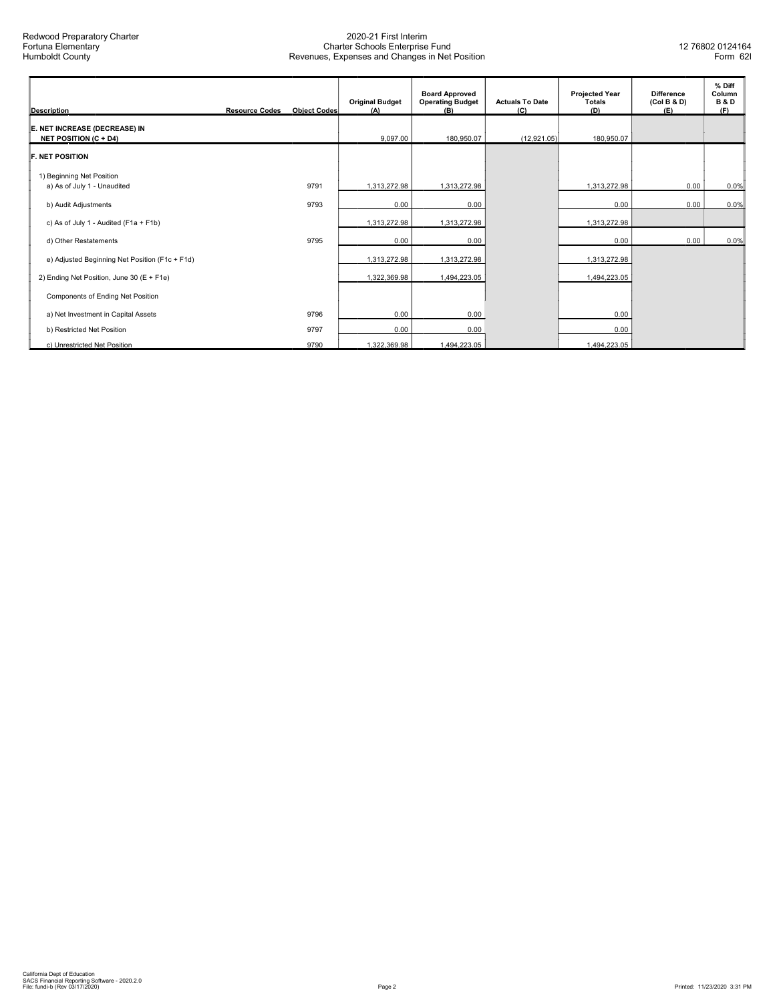| <b>Description</b>                                            | <b>Resource Codes</b> | <b>Object Codes</b> | <b>Original Budget</b><br>(A) | <b>Board Approved</b><br><b>Operating Budget</b><br>(B) | <b>Actuals To Date</b><br>(C) | <b>Projected Year</b><br><b>Totals</b><br>(D) | <b>Difference</b><br>(Col B & D)<br>(E) | % Diff<br>Column<br><b>B&amp;D</b><br>(F) |
|---------------------------------------------------------------|-----------------------|---------------------|-------------------------------|---------------------------------------------------------|-------------------------------|-----------------------------------------------|-----------------------------------------|-------------------------------------------|
| E. NET INCREASE (DECREASE) IN<br><b>NET POSITION (C + D4)</b> |                       |                     | 9,097.00                      | 180,950.07                                              | (12,921.05)                   | 180,950.07                                    |                                         |                                           |
| <b>F. NET POSITION</b>                                        |                       |                     |                               |                                                         |                               |                                               |                                         |                                           |
| 1) Beginning Net Position<br>a) As of July 1 - Unaudited      |                       | 9791                | 1,313,272.98                  | 1,313,272.98                                            |                               | 1,313,272.98                                  | 0.00                                    | 0.0%                                      |
| b) Audit Adjustments                                          |                       | 9793                | 0.00                          | 0.00                                                    |                               | 0.00                                          | 0.00                                    | 0.0%                                      |
| c) As of July 1 - Audited (F1a + F1b)                         |                       |                     | 1,313,272.98                  | 1,313,272.98                                            |                               | 1,313,272.98                                  |                                         |                                           |
| d) Other Restatements                                         |                       | 9795                | 0.00                          | 0.00                                                    |                               | 0.00                                          | 0.00                                    | 0.0%                                      |
| e) Adjusted Beginning Net Position (F1c + F1d)                |                       |                     | 1,313,272.98                  | 1,313,272.98                                            |                               | 1,313,272.98                                  |                                         |                                           |
| 2) Ending Net Position, June 30 (E + F1e)                     |                       |                     | 1,322,369.98                  | 1,494,223.05                                            |                               | 1,494,223.05                                  |                                         |                                           |
| Components of Ending Net Position                             |                       |                     |                               |                                                         |                               |                                               |                                         |                                           |
| a) Net Investment in Capital Assets                           |                       | 9796                | 0.00                          | 0.00                                                    |                               | 0.00                                          |                                         |                                           |
| b) Restricted Net Position                                    |                       | 9797                | 0.00                          | 0.00                                                    |                               | 0.00                                          |                                         |                                           |
| c) Unrestricted Net Position                                  |                       | 9790                | 1,322,369.98                  | 1,494,223.05                                            |                               | 1,494,223.05                                  |                                         |                                           |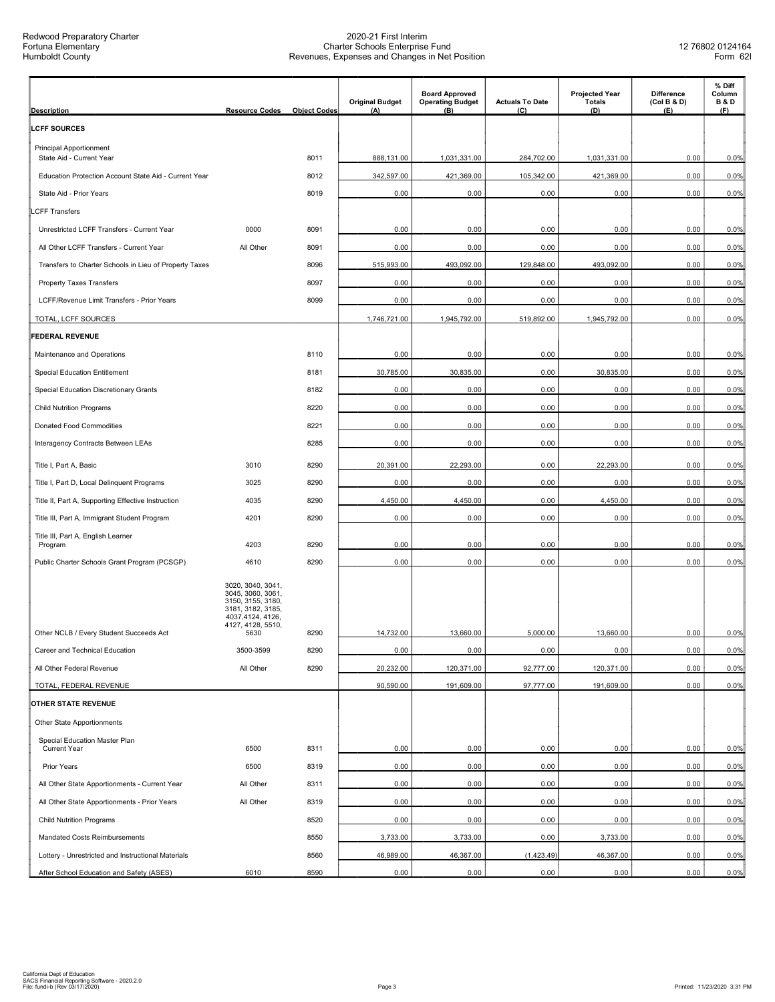| <b>Description</b>                                         | <b>Resource Codes</b>                                                                                                             | <b>Object Codes</b> | <b>Original Budget</b><br>(A) | <b>Board Approved</b><br><b>Operating Budget</b><br>(B) | <b>Actuals To Date</b><br>(C) | <b>Projected Year</b><br><b>Totals</b><br>(D) | <b>Difference</b><br>(Col B & D)<br>(E) | % Diff<br>Column<br><b>B&amp;D</b><br>(F) |
|------------------------------------------------------------|-----------------------------------------------------------------------------------------------------------------------------------|---------------------|-------------------------------|---------------------------------------------------------|-------------------------------|-----------------------------------------------|-----------------------------------------|-------------------------------------------|
| <b>LCFF SOURCES</b>                                        |                                                                                                                                   |                     |                               |                                                         |                               |                                               |                                         |                                           |
| <b>Principal Apportionment</b><br>State Aid - Current Year |                                                                                                                                   | 8011                | 888,131.00                    | 1,031,331.00                                            | 284,702.00                    | 1,031,331.00                                  | 0.00                                    | 0.0%                                      |
| Education Protection Account State Aid - Current Year      |                                                                                                                                   | 8012                | 342,597.00                    | 421,369.00                                              | 105,342.00                    | 421,369.00                                    | 0.00                                    | 0.0%                                      |
| State Aid - Prior Years                                    |                                                                                                                                   | 8019                | 0.00                          | 0.00                                                    | 0.00                          | 0.00                                          | 0.00                                    | 0.0%                                      |
| <b>CFF Transfers</b>                                       |                                                                                                                                   |                     |                               |                                                         |                               |                                               |                                         |                                           |
| Unrestricted LCFF Transfers - Current Year                 | 0000                                                                                                                              | 8091                | 0.00                          | 0.00                                                    | 0.00                          | 0.00                                          | 0.00                                    | 0.0%                                      |
| All Other LCFF Transfers - Current Year                    | All Other                                                                                                                         | 8091                | 0.00                          | 0.00                                                    | 0.00                          | 0.00                                          | 0.00                                    | 0.0%                                      |
| Transfers to Charter Schools in Lieu of Property Taxes     |                                                                                                                                   | 8096                | 515,993.00                    | 493,092.00                                              | 129,848.00                    | 493,092.00                                    | 0.00                                    | 0.0%                                      |
| <b>Property Taxes Transfers</b>                            |                                                                                                                                   | 8097                | 0.00                          | 0.00                                                    | 0.00                          | 0.00                                          | 0.00                                    | 0.0%                                      |
| LCFF/Revenue Limit Transfers - Prior Years                 |                                                                                                                                   | 8099                | 0.00                          | 0.00                                                    | 0.00                          | 0.00                                          | 0.00                                    | 0.0%                                      |
| TOTAL, LCFF SOURCES                                        |                                                                                                                                   |                     | 1,746,721.00                  | 1,945,792.00                                            | 519,892.00                    | 1,945,792.00                                  | 0.00                                    | 0.0%                                      |
| <b>FEDERAL REVENUE</b>                                     |                                                                                                                                   |                     |                               |                                                         |                               |                                               |                                         |                                           |
| Maintenance and Operations                                 |                                                                                                                                   | 8110                | 0.00                          | 0.00                                                    | 0.00                          | 0.00                                          | 0.00                                    | 0.0%                                      |
| <b>Special Education Entitlement</b>                       |                                                                                                                                   | 8181                | 30,785.00                     | 30,835.00                                               | 0.00                          | 30,835.00                                     | 0.00                                    | 0.0%                                      |
| Special Education Discretionary Grants                     |                                                                                                                                   | 8182                | 0.00                          | 0.00                                                    | 0.00                          | 0.00                                          | 0.00                                    | 0.0%                                      |
| <b>Child Nutrition Programs</b>                            |                                                                                                                                   | 8220                | 0.00                          | 0.00                                                    | 0.00                          | 0.00                                          | 0.00                                    | 0.0%                                      |
| Donated Food Commodities                                   |                                                                                                                                   | 8221                | 0.00                          | 0.00                                                    | 0.00                          | 0.00                                          | 0.00                                    | 0.0%                                      |
| Interagency Contracts Between LEAs                         |                                                                                                                                   | 8285                | 0.00                          | 0.00                                                    | 0.00                          | 0.00                                          | 0.00                                    | 0.0%                                      |
| Title I, Part A, Basic                                     | 3010                                                                                                                              | 8290                | 20,391.00                     | 22,293.00                                               | 0.00                          | 22,293.00                                     | 0.00                                    | 0.0%                                      |
| Title I, Part D, Local Delinquent Programs                 | 3025                                                                                                                              | 8290                | 0.00                          | 0.00                                                    | 0.00                          | 0.00                                          | 0.00                                    | 0.0%                                      |
| Title II, Part A, Supporting Effective Instruction         | 4035                                                                                                                              | 8290                | 4,450.00                      | 4,450.00                                                | 0.00                          | 4,450.00                                      | 0.00                                    | 0.0%                                      |
| Title III, Part A, Immigrant Student Program               | 4201                                                                                                                              | 8290                | 0.00                          | 0.00                                                    | 0.00                          | 0.00                                          | 0.00                                    | 0.0%                                      |
| Title III, Part A, English Learner<br>Program              | 4203                                                                                                                              | 8290                | 0.00                          | 0.00                                                    | 0.00                          | 0.00                                          | 0.00                                    | 0.0%                                      |
| Public Charter Schools Grant Program (PCSGP)               | 4610                                                                                                                              | 8290                | 0.00                          | 0.00                                                    | 0.00                          | 0.00                                          | 0.00                                    | 0.0%                                      |
| Other NCLB / Every Student Succeeds Act                    | 3020, 3040, 3041,<br>3045, 3060, 3061,<br>3150, 3155, 3180,<br>3181, 3182, 3185,<br>4037,4124, 4126,<br>4127, 4128, 5510,<br>5630 | 8290                | 14,732.00                     | 13,660.00                                               | 5,000.00                      | 13,660.00                                     | 0.00                                    | 0.0%                                      |
| Career and Technical Education                             | 3500-3599                                                                                                                         | 8290                | 0.00                          | 0.00                                                    | 0.00                          | 0.00                                          | 0.00                                    | 0.0%                                      |
| All Other Federal Revenue                                  | All Other                                                                                                                         | 8290                | 20,232.00                     | 120,371.00                                              | 92,777.00                     | 120,371.00                                    | 0.00                                    | 0.0%                                      |
| TOTAL, FEDERAL REVENUE                                     |                                                                                                                                   |                     | 90,590.00                     | 191,609.00                                              | 97,777.00                     | 191,609.00                                    | 0.00                                    | 0.0%                                      |
| OTHER STATE REVENUE                                        |                                                                                                                                   |                     |                               |                                                         |                               |                                               |                                         |                                           |
| Other State Apportionments                                 |                                                                                                                                   |                     |                               |                                                         |                               |                                               |                                         |                                           |
| Special Education Master Plan                              |                                                                                                                                   |                     |                               |                                                         |                               |                                               |                                         |                                           |
| <b>Current Year</b>                                        | 6500                                                                                                                              | 8311                | 0.00                          | 0.00                                                    | 0.00                          | 0.00                                          | 0.00                                    | 0.0%                                      |
| Prior Years                                                | 6500                                                                                                                              | 8319                | 0.00                          | 0.00                                                    | 0.00                          | 0.00                                          | 0.00                                    | 0.0%                                      |
| All Other State Apportionments - Current Year              | All Other                                                                                                                         | 8311                | 0.00                          | 0.00                                                    | 0.00                          | 0.00                                          | 0.00                                    | 0.0%                                      |
| All Other State Apportionments - Prior Years               | All Other                                                                                                                         | 8319                | 0.00                          | 0.00                                                    | 0.00                          | 0.00                                          | 0.00                                    | 0.0%                                      |
| <b>Child Nutrition Programs</b>                            |                                                                                                                                   | 8520                | 0.00                          | 0.00                                                    | 0.00                          | 0.00                                          | 0.00                                    | 0.0%                                      |
| Mandated Costs Reimbursements                              |                                                                                                                                   | 8550                | 3,733.00                      | 3,733.00                                                | 0.00                          | 3,733.00                                      | 0.00                                    | 0.0%                                      |
| Lottery - Unrestricted and Instructional Materials         |                                                                                                                                   | 8560                | 46,989.00                     | 46,367.00                                               | (1,423.49)                    | 46,367.00                                     | 0.00                                    | 0.0%                                      |
| After School Education and Safety (ASES)                   | 6010                                                                                                                              | 8590                | 0.00                          | 0.00                                                    | 0.00                          | 0.00                                          | 0.00                                    | 0.0%                                      |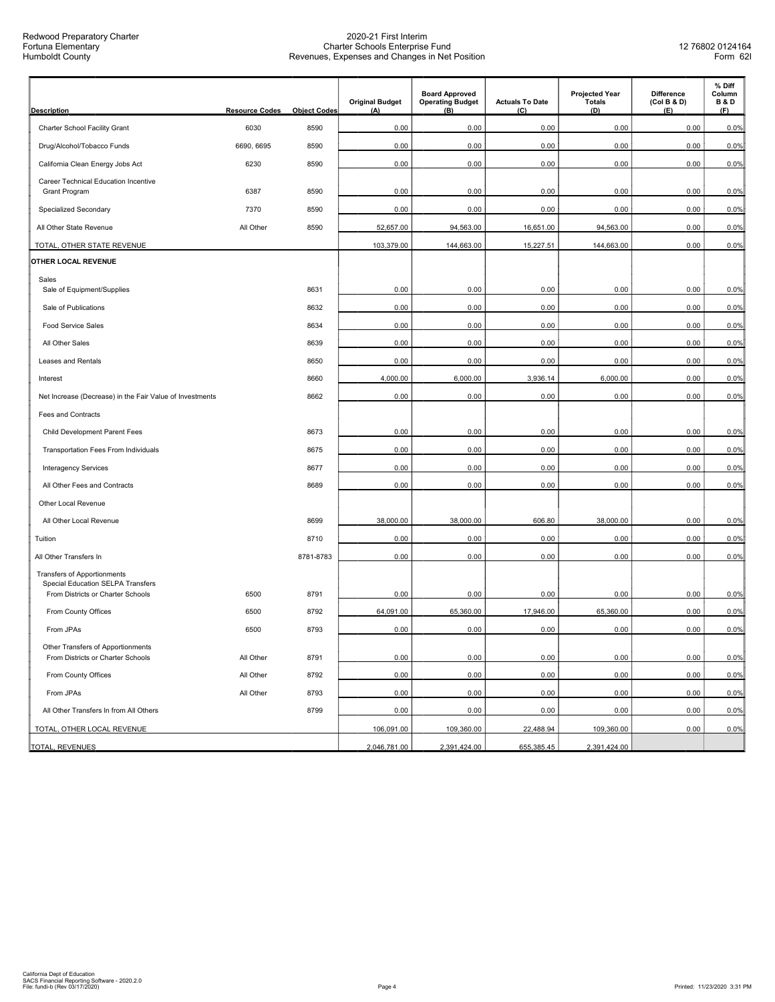Redwood Preparatory Charter Fortuna Elementary Humboldt County

| <b>Description</b>                                                            | <b>Resource Codes</b> | <b>Object Codes</b> | <b>Original Budget</b><br>(A) | <b>Board Approved</b><br><b>Operating Budget</b><br>(B) | <b>Actuals To Date</b><br>(C) | <b>Projected Year</b><br><b>Totals</b><br>(D) | <b>Difference</b><br>(Col B & D)<br>(E) | % Diff<br>Column<br><b>B&amp;D</b><br>(F) |
|-------------------------------------------------------------------------------|-----------------------|---------------------|-------------------------------|---------------------------------------------------------|-------------------------------|-----------------------------------------------|-----------------------------------------|-------------------------------------------|
| Charter School Facility Grant                                                 | 6030                  | 8590                | 0.00                          | 0.00                                                    | 0.00                          | 0.00                                          | 0.00                                    | 0.0%                                      |
| Drug/Alcohol/Tobacco Funds                                                    | 6690, 6695            | 8590                | 0.00                          | 0.00                                                    | 0.00                          | 0.00                                          | 0.00                                    | 0.0%                                      |
| California Clean Energy Jobs Act                                              | 6230                  | 8590                | 0.00                          | 0.00                                                    | 0.00                          | 0.00                                          | 0.00                                    | 0.0%                                      |
| Career Technical Education Incentive                                          |                       |                     |                               |                                                         |                               |                                               |                                         |                                           |
| <b>Grant Program</b>                                                          | 6387                  | 8590                | 0.00                          | 0.00                                                    | 0.00                          | 0.00                                          | 0.00                                    | 0.0%                                      |
| Specialized Secondary                                                         | 7370                  | 8590                | 0.00                          | 0.00                                                    | 0.00                          | 0.00                                          | 0.00                                    | 0.0%                                      |
| All Other State Revenue                                                       | All Other             | 8590                | 52,657.00                     | 94,563.00                                               | 16,651.00                     | 94,563.00                                     | 0.00                                    | 0.0%                                      |
| TOTAL, OTHER STATE REVENUE                                                    |                       |                     | 103,379.00                    | 144,663.00                                              | 15,227.51                     | 144,663.00                                    | 0.00                                    | 0.0%                                      |
| OTHER LOCAL REVENUE                                                           |                       |                     |                               |                                                         |                               |                                               |                                         |                                           |
| Sales<br>Sale of Equipment/Supplies                                           |                       | 8631                | 0.00                          | 0.00                                                    | 0.00                          | 0.00                                          | 0.00                                    | 0.0%                                      |
| Sale of Publications                                                          |                       | 8632                | 0.00                          | 0.00                                                    | 0.00                          | 0.00                                          | 0.00                                    | 0.0%                                      |
| <b>Food Service Sales</b>                                                     |                       | 8634                | 0.00                          | 0.00                                                    | 0.00                          | 0.00                                          | 0.00                                    | 0.0%                                      |
| All Other Sales                                                               |                       | 8639                | 0.00                          | 0.00                                                    | 0.00                          | 0.00                                          | 0.00                                    | 0.0%                                      |
| Leases and Rentals                                                            |                       | 8650                | 0.00                          | 0.00                                                    | 0.00                          | 0.00                                          | 0.00                                    | 0.0%                                      |
| Interest                                                                      |                       | 8660                | 4,000.00                      | 6,000.00                                                | 3,936.14                      | 6,000.00                                      | 0.00                                    | 0.0%                                      |
| Net Increase (Decrease) in the Fair Value of Investments                      |                       | 8662                | 0.00                          | 0.00                                                    | 0.00                          | 0.00                                          | 0.00                                    | 0.0%                                      |
| <b>Fees and Contracts</b>                                                     |                       |                     |                               |                                                         |                               |                                               |                                         |                                           |
| Child Development Parent Fees                                                 |                       | 8673                | 0.00                          | 0.00                                                    | 0.00                          | 0.00                                          | 0.00                                    | 0.0%                                      |
| Transportation Fees From Individuals                                          |                       | 8675                | 0.00                          | 0.00                                                    | 0.00                          | 0.00                                          | 0.00                                    | 0.0%                                      |
| <b>Interagency Services</b>                                                   |                       | 8677                | 0.00                          | 0.00                                                    | 0.00                          | 0.00                                          | 0.00                                    | 0.0%                                      |
| All Other Fees and Contracts                                                  |                       | 8689                | 0.00                          | 0.00                                                    | 0.00                          | 0.00                                          | 0.00                                    | 0.0%                                      |
| Other Local Revenue                                                           |                       |                     |                               |                                                         |                               |                                               |                                         |                                           |
| All Other Local Revenue                                                       |                       | 8699                | 38,000.00                     | 38,000.00                                               | 606.80                        | 38,000.00                                     | 0.00                                    | 0.0%                                      |
| Tuition                                                                       |                       | 8710                | 0.00                          | 0.00                                                    | 0.00                          | 0.00                                          | 0.00                                    | 0.0%                                      |
| All Other Transfers In                                                        |                       | 8781-8783           | 0.00                          | 0.00                                                    | 0.00                          | 0.00                                          | 0.00                                    | 0.0%                                      |
| <b>Transfers of Apportionments</b>                                            |                       |                     |                               |                                                         |                               |                                               |                                         |                                           |
| <b>Special Education SELPA Transfers</b><br>From Districts or Charter Schools | 6500                  | 8791                | 0.00                          | 0.00                                                    | 0.00                          | 0.00                                          | 0.00                                    | 0.0%                                      |
| From County Offices                                                           | 6500                  | 8792                | 64,091.00                     | 65,360.00                                               | 17.946.00                     | 65.360.00                                     | 0.00                                    | 0.0%                                      |
| From JPAs                                                                     | 6500                  | 8793                | 0.00                          | 0.00                                                    | 0.00                          | 0.00                                          | 0.00                                    | 0.0%                                      |
| Other Transfers of Apportionments                                             |                       |                     |                               |                                                         |                               |                                               |                                         |                                           |
| From Districts or Charter Schools                                             | All Other             | 8791                | 0.00                          | 0.00                                                    | 0.00                          | 0.00                                          | 0.00                                    | 0.0%                                      |
| From County Offices                                                           | All Other             | 8792                | 0.00                          | 0.00                                                    | 0.00                          | 0.00                                          | 0.00                                    | 0.0%                                      |
| From JPAs                                                                     | All Other             | 8793                | 0.00                          | 0.00                                                    | 0.00                          | 0.00                                          | 0.00                                    | 0.0%                                      |
| All Other Transfers In from All Others                                        |                       | 8799                | 0.00                          | 0.00                                                    | 0.00                          | 0.00                                          | 0.00                                    | 0.0%                                      |
| TOTAL, OTHER LOCAL REVENUE                                                    |                       |                     | 106,091.00                    | 109,360.00                                              | 22,488.94                     | 109,360.00                                    | 0.00                                    | 0.0%                                      |
| TOTAL, REVENUES                                                               |                       |                     | 2,046,781.00                  | 2,391,424.00                                            | 655,385.45                    | 2,391,424.00                                  |                                         |                                           |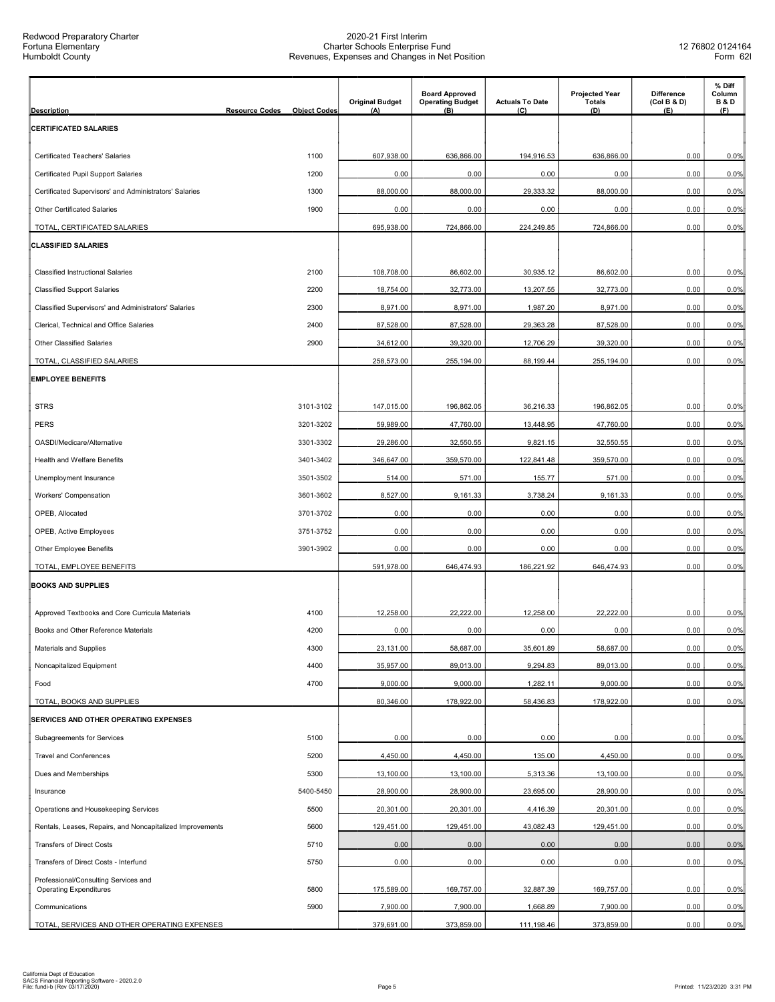| <b>Description</b>                                                    | <b>Resource Codes</b> | <b>Object Codes</b> | <b>Original Budget</b><br>(A) | <b>Board Approved</b><br><b>Operating Budget</b><br>(B) | <b>Actuals To Date</b><br>(C) | <b>Projected Year</b><br><b>Totals</b><br>(D) | <b>Difference</b><br>(Col B & D)<br>(E) | % Diff<br>Column<br><b>B&amp;D</b><br>(F) |
|-----------------------------------------------------------------------|-----------------------|---------------------|-------------------------------|---------------------------------------------------------|-------------------------------|-----------------------------------------------|-----------------------------------------|-------------------------------------------|
| <b>CERTIFICATED SALARIES</b>                                          |                       |                     |                               |                                                         |                               |                                               |                                         |                                           |
| Certificated Teachers' Salaries                                       |                       | 1100                | 607,938.00                    | 636,866.00                                              | 194,916.53                    | 636,866.00                                    | 0.00                                    | 0.0%                                      |
| Certificated Pupil Support Salaries                                   |                       | 1200                | 0.00                          | 0.00                                                    | 0.00                          | 0.00                                          | 0.00                                    | 0.0%                                      |
| Certificated Supervisors' and Administrators' Salaries                |                       | 1300                | 88,000.00                     | 88,000.00                                               | 29,333.32                     | 88,000.00                                     | 0.00                                    | 0.0%                                      |
| Other Certificated Salaries                                           |                       | 1900                | 0.00                          | 0.00                                                    | 0.00                          | 0.00                                          | 0.00                                    | 0.0%                                      |
| TOTAL, CERTIFICATED SALARIES                                          |                       |                     | 695,938.00                    | 724,866.00                                              | 224,249.85                    | 724,866.00                                    | 0.00                                    | 0.0%                                      |
| <b>CLASSIFIED SALARIES</b>                                            |                       |                     |                               |                                                         |                               |                                               |                                         |                                           |
| <b>Classified Instructional Salaries</b>                              |                       | 2100                | 108,708.00                    | 86,602.00                                               | 30,935.12                     | 86,602.00                                     | 0.00                                    | 0.0%                                      |
| <b>Classified Support Salaries</b>                                    |                       | 2200                | 18,754.00                     | 32,773.00                                               | 13,207.55                     | 32,773.00                                     | 0.00                                    | 0.0%                                      |
| Classified Supervisors' and Administrators' Salaries                  |                       | 2300                | 8,971.00                      | 8,971.00                                                | 1,987.20                      | 8,971.00                                      | 0.00                                    | 0.0%                                      |
| Clerical, Technical and Office Salaries                               |                       | 2400                | 87,528.00                     | 87,528.00                                               | 29,363.28                     | 87,528.00                                     | 0.00                                    | 0.0%                                      |
| Other Classified Salaries                                             |                       | 2900                | 34,612.00                     | 39,320.00                                               | 12,706.29                     | 39,320.00                                     | 0.00                                    | 0.0%                                      |
| TOTAL, CLASSIFIED SALARIES                                            |                       |                     | 258,573.00                    | 255,194.00                                              | 88,199.44                     | 255,194.00                                    | 0.00                                    | 0.0%                                      |
| <b>EMPLOYEE BENEFITS</b>                                              |                       |                     |                               |                                                         |                               |                                               |                                         |                                           |
| <b>STRS</b>                                                           |                       | 3101-3102           | 147,015.00                    | 196,862.05                                              | 36,216.33                     | 196,862.05                                    | 0.00                                    | 0.0%                                      |
| <b>PERS</b>                                                           |                       | 3201-3202           | 59,989.00                     | 47,760.00                                               | 13,448.95                     | 47,760.00                                     | 0.00                                    | 0.0%                                      |
| OASDI/Medicare/Alternative                                            |                       | 3301-3302           | 29,286.00                     | 32,550.55                                               | 9,821.15                      | 32,550.55                                     | 0.00                                    | 0.0%                                      |
| Health and Welfare Benefits                                           |                       | 3401-3402           | 346,647.00                    | 359,570.00                                              | 122,841.48                    | 359,570.00                                    | 0.00                                    | 0.0%                                      |
| Unemployment Insurance                                                |                       | 3501-3502           | 514.00                        | 571.00                                                  | 155.77                        | 571.00                                        | 0.00                                    | 0.0%                                      |
| Workers' Compensation                                                 |                       | 3601-3602           | 8,527.00                      | 9,161.33                                                | 3,738.24                      | 9,161.33                                      | 0.00                                    | 0.0%                                      |
| OPEB, Allocated                                                       |                       | 3701-3702           | 0.00                          | 0.00                                                    | 0.00                          | 0.00                                          | 0.00                                    | 0.0%                                      |
| OPEB, Active Employees                                                |                       | 3751-3752           | 0.00                          | 0.00                                                    | 0.00                          | 0.00                                          | 0.00                                    | 0.0%                                      |
| <b>Other Employee Benefits</b>                                        |                       | 3901-3902           | 0.00                          | 0.00                                                    | 0.00                          | 0.00                                          | 0.00                                    | 0.0%                                      |
| TOTAL. EMPLOYEE BENEFITS                                              |                       |                     | 591,978.00                    | 646,474.93                                              | 186,221.92                    | 646.474.93                                    | 0.00                                    | 0.0%                                      |
| <b>BOOKS AND SUPPLIES</b>                                             |                       |                     |                               |                                                         |                               |                                               |                                         |                                           |
| Approved Textbooks and Core Curricula Materials                       |                       | 4100                | 12,258.00                     | 22,222.00                                               | 12,258.00                     | 22,222.00                                     | 0.00                                    | 0.0%                                      |
| Books and Other Reference Materials                                   |                       | 4200                | 0.00                          | 0.00                                                    | 0.00                          | 0.00                                          | 0.00                                    | 0.0%                                      |
| Materials and Supplies                                                |                       | 4300                | 23,131.00                     | 58,687.00                                               | 35,601.89                     | 58,687.00                                     | 0.00                                    | 0.0%                                      |
| Noncapitalized Equipment                                              |                       | 4400                | 35,957.00                     | 89,013.00                                               | 9,294.83                      | 89,013.00                                     | 0.00                                    | 0.0%                                      |
| Food                                                                  |                       | 4700                | 9,000.00                      | 9,000.00                                                | 1,282.11                      | 9,000.00                                      | 0.00                                    | 0.0%                                      |
| TOTAL, BOOKS AND SUPPLIES                                             |                       |                     | 80,346.00                     | 178,922.00                                              | 58,436.83                     | 178,922.00                                    | 0.00                                    | 0.0%                                      |
| SERVICES AND OTHER OPERATING EXPENSES                                 |                       |                     |                               |                                                         |                               |                                               |                                         |                                           |
| Subagreements for Services                                            |                       | 5100                | 0.00                          | 0.00                                                    | 0.00                          | 0.00                                          | 0.00                                    | 0.0%                                      |
| <b>Travel and Conferences</b>                                         |                       | 5200                | 4,450.00                      | 4,450.00                                                | 135.00                        | 4,450.00                                      | 0.00                                    | 0.0%                                      |
| Dues and Memberships                                                  |                       | 5300                | 13,100.00                     | 13,100.00                                               | 5,313.36                      | 13,100.00                                     | 0.00                                    | 0.0%                                      |
| Insurance                                                             |                       | 5400-5450           | 28,900.00                     | 28,900.00                                               | 23,695.00                     | 28,900.00                                     | 0.00                                    | 0.0%                                      |
| Operations and Housekeeping Services                                  |                       | 5500                | 20,301.00                     | 20,301.00                                               | 4,416.39                      | 20,301.00                                     | 0.00                                    | 0.0%                                      |
| Rentals, Leases, Repairs, and Noncapitalized Improvements             |                       | 5600                | 129,451.00                    | 129,451.00                                              | 43,082.43                     | 129,451.00                                    | 0.00                                    | 0.0%                                      |
| <b>Transfers of Direct Costs</b>                                      |                       | 5710                | 0.00                          | 0.00                                                    | 0.00                          | 0.00                                          | 0.00                                    | 0.0%                                      |
| Transfers of Direct Costs - Interfund                                 |                       | 5750                | 0.00                          | 0.00                                                    | 0.00                          | 0.00                                          | 0.00                                    | 0.0%                                      |
| Professional/Consulting Services and<br><b>Operating Expenditures</b> |                       | 5800                | 175,589.00                    | 169,757.00                                              | 32,887.39                     | 169,757.00                                    | 0.00                                    | 0.0%                                      |
| Communications                                                        |                       | 5900                | 7,900.00                      | 7,900.00                                                | 1,668.89                      | 7,900.00                                      | 0.00                                    | 0.0%                                      |
| TOTAL, SERVICES AND OTHER OPERATING EXPENSES                          |                       |                     | 379,691.00                    | 373,859.00                                              | 111,198.46                    | 373,859.00                                    | 0.00                                    | 0.0%                                      |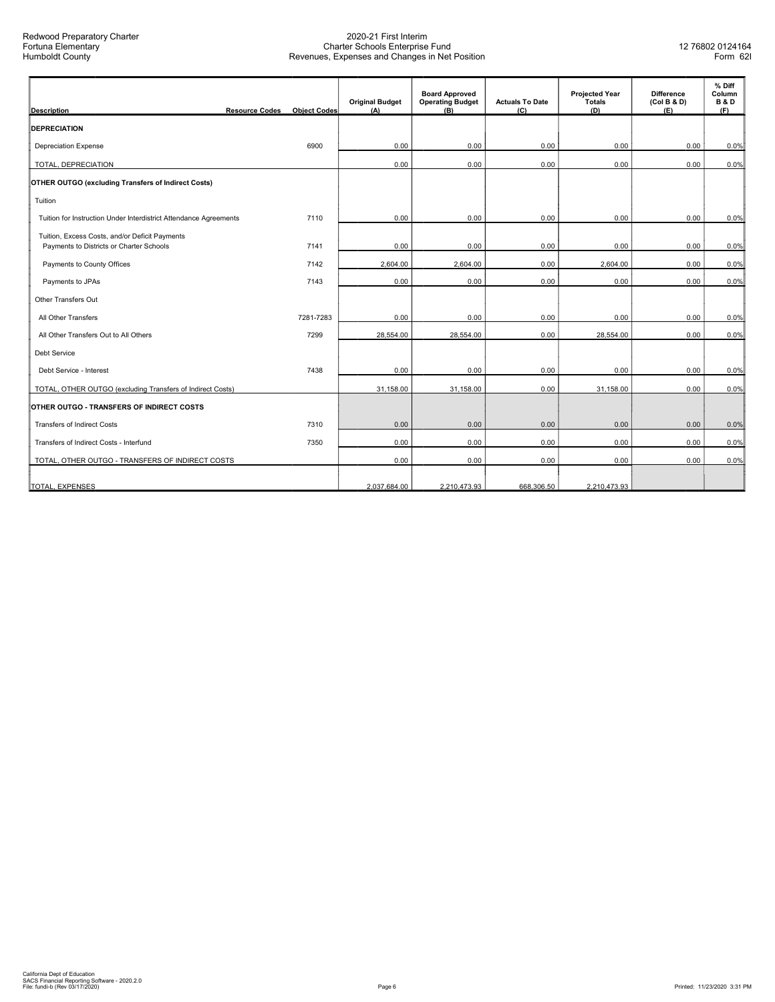| <b>Description</b>                                                                         | <b>Resource Codes</b> | <b>Object Codes</b> | <b>Original Budget</b><br>(A) | <b>Board Approved</b><br><b>Operating Budget</b><br>(B) | <b>Actuals To Date</b><br>(C) | <b>Projected Year</b><br>Totals<br>(D) | <b>Difference</b><br>(Col B & D)<br>(E) | % Diff<br>Column<br><b>B&amp;D</b><br>(F) |
|--------------------------------------------------------------------------------------------|-----------------------|---------------------|-------------------------------|---------------------------------------------------------|-------------------------------|----------------------------------------|-----------------------------------------|-------------------------------------------|
| <b>DEPRECIATION</b>                                                                        |                       |                     |                               |                                                         |                               |                                        |                                         |                                           |
| <b>Depreciation Expense</b>                                                                |                       | 6900                | 0.00                          | 0.00                                                    | 0.00                          | 0.00                                   | 0.00                                    | 0.0%                                      |
| TOTAL, DEPRECIATION                                                                        |                       |                     | 0.00                          | 0.00                                                    | 0.00                          | 0.00                                   | 0.00                                    | 0.0%                                      |
| <b>OTHER OUTGO (excluding Transfers of Indirect Costs)</b>                                 |                       |                     |                               |                                                         |                               |                                        |                                         |                                           |
| Tuition                                                                                    |                       |                     |                               |                                                         |                               |                                        |                                         |                                           |
| Tuition for Instruction Under Interdistrict Attendance Agreements                          |                       | 7110                | 0.00                          | 0.00                                                    | 0.00                          | 0.00                                   | 0.00                                    | 0.0%                                      |
| Tuition, Excess Costs, and/or Deficit Payments<br>Payments to Districts or Charter Schools |                       | 7141                | 0.00                          | 0.00                                                    | 0.00                          | 0.00                                   | 0.00                                    | 0.0%                                      |
| Payments to County Offices                                                                 |                       | 7142                | 2,604.00                      | 2,604.00                                                | 0.00                          | 2,604.00                               | 0.00                                    | 0.0%                                      |
| Payments to JPAs                                                                           |                       | 7143                | 0.00                          | 0.00                                                    | 0.00                          | 0.00                                   | 0.00                                    | 0.0%                                      |
| Other Transfers Out                                                                        |                       |                     |                               |                                                         |                               |                                        |                                         |                                           |
| All Other Transfers                                                                        |                       | 7281-7283           | 0.00                          | 0.00                                                    | 0.00                          | 0.00                                   | 0.00                                    | 0.0%                                      |
| All Other Transfers Out to All Others                                                      |                       | 7299                | 28,554.00                     | 28,554.00                                               | 0.00                          | 28,554.00                              | 0.00                                    | 0.0%                                      |
| <b>Debt Service</b>                                                                        |                       |                     |                               |                                                         |                               |                                        |                                         |                                           |
| Debt Service - Interest                                                                    |                       | 7438                | 0.00                          | 0.00                                                    | 0.00                          | 0.00                                   | 0.00                                    | 0.0%                                      |
| TOTAL, OTHER OUTGO (excluding Transfers of Indirect Costs)                                 |                       |                     | 31,158.00                     | 31,158.00                                               | 0.00                          | 31,158.00                              | 0.00                                    | 0.0%                                      |
| OTHER OUTGO - TRANSFERS OF INDIRECT COSTS                                                  |                       |                     |                               |                                                         |                               |                                        |                                         |                                           |
| <b>Transfers of Indirect Costs</b>                                                         |                       | 7310                | 0.00                          | 0.00                                                    | 0.00                          | 0.00                                   | 0.00                                    | 0.0%                                      |
| Transfers of Indirect Costs - Interfund                                                    |                       | 7350                | 0.00                          | 0.00                                                    | 0.00                          | 0.00                                   | 0.00                                    | 0.0%                                      |
| TOTAL, OTHER OUTGO - TRANSFERS OF INDIRECT COSTS                                           |                       |                     | 0.00                          | 0.00                                                    | 0.00                          | 0.00                                   | 0.00                                    | 0.0%                                      |
| TOTAL, EXPENSES                                                                            |                       |                     | 2,037,684.00                  | 2,210,473.93                                            | 668,306.50                    | 2,210,473.93                           |                                         |                                           |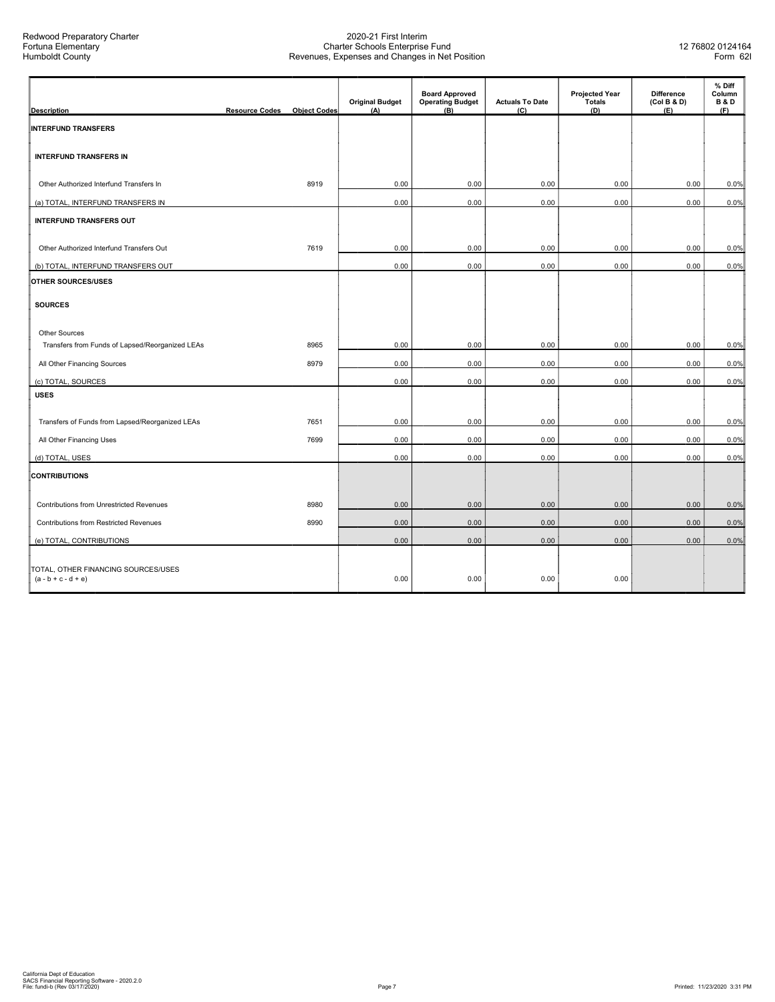| <b>Description</b>                                           | <b>Resource Codes</b> | <b>Object Codes</b> | <b>Original Budget</b><br>(A) | <b>Board Approved</b><br><b>Operating Budget</b><br>(B) | <b>Actuals To Date</b><br>(C) | <b>Projected Year</b><br>Totals<br>(D) | <b>Difference</b><br>(Col B & D)<br>(E) | % Diff<br>Column<br><b>B&amp;D</b><br>(F) |
|--------------------------------------------------------------|-----------------------|---------------------|-------------------------------|---------------------------------------------------------|-------------------------------|----------------------------------------|-----------------------------------------|-------------------------------------------|
| <b>INTERFUND TRANSFERS</b>                                   |                       |                     |                               |                                                         |                               |                                        |                                         |                                           |
|                                                              |                       |                     |                               |                                                         |                               |                                        |                                         |                                           |
| <b>INTERFUND TRANSFERS IN</b>                                |                       |                     |                               |                                                         |                               |                                        |                                         |                                           |
| Other Authorized Interfund Transfers In                      |                       | 8919                | 0.00                          | 0.00                                                    | 0.00                          | 0.00                                   | 0.00                                    | 0.0%                                      |
| (a) TOTAL, INTERFUND TRANSFERS IN                            |                       |                     | 0.00                          | 0.00                                                    | 0.00                          | 0.00                                   | 0.00                                    | 0.0%                                      |
| <b>INTERFUND TRANSFERS OUT</b>                               |                       |                     |                               |                                                         |                               |                                        |                                         |                                           |
| Other Authorized Interfund Transfers Out                     |                       | 7619                | 0.00                          | 0.00                                                    | 0.00                          | 0.00                                   | 0.00                                    | 0.0%                                      |
| (b) TOTAL, INTERFUND TRANSFERS OUT                           |                       |                     | 0.00                          | 0.00                                                    | 0.00                          | 0.00                                   | 0.00                                    | 0.0%                                      |
| <b>OTHER SOURCES/USES</b>                                    |                       |                     |                               |                                                         |                               |                                        |                                         |                                           |
|                                                              |                       |                     |                               |                                                         |                               |                                        |                                         |                                           |
| <b>SOURCES</b>                                               |                       |                     |                               |                                                         |                               |                                        |                                         |                                           |
| Other Sources                                                |                       |                     |                               |                                                         |                               |                                        |                                         |                                           |
| Transfers from Funds of Lapsed/Reorganized LEAs              |                       | 8965                | 0.00                          | 0.00                                                    | 0.00                          | 0.00                                   | 0.00                                    | 0.0%                                      |
| All Other Financing Sources                                  |                       | 8979                | 0.00                          | 0.00                                                    | 0.00                          | 0.00                                   | 0.00                                    | 0.0%                                      |
| (c) TOTAL, SOURCES                                           |                       |                     | 0.00                          | 0.00                                                    | 0.00                          | 0.00                                   | 0.00                                    | 0.0%                                      |
| <b>USES</b>                                                  |                       |                     |                               |                                                         |                               |                                        |                                         |                                           |
| Transfers of Funds from Lapsed/Reorganized LEAs              |                       | 7651                | 0.00                          | 0.00                                                    | 0.00                          | 0.00                                   | 0.00                                    | 0.0%                                      |
| All Other Financing Uses                                     |                       | 7699                | 0.00                          | 0.00                                                    | 0.00                          | 0.00                                   | 0.00                                    | 0.0%                                      |
| (d) TOTAL, USES                                              |                       |                     | 0.00                          | 0.00                                                    | 0.00                          | 0.00                                   | 0.00                                    | 0.0%                                      |
| <b>CONTRIBUTIONS</b>                                         |                       |                     |                               |                                                         |                               |                                        |                                         |                                           |
| Contributions from Unrestricted Revenues                     |                       | 8980                | 0.00                          | 0.00                                                    | 0.00                          | 0.00                                   | 0.00                                    | 0.0%                                      |
| <b>Contributions from Restricted Revenues</b>                |                       | 8990                | 0.00                          | 0.00                                                    | 0.00                          | 0.00                                   | 0.00                                    | 0.0%                                      |
| (e) TOTAL, CONTRIBUTIONS                                     |                       |                     | 0.00                          | 0.00                                                    | 0.00                          | 0.00                                   | 0.00                                    | 0.0%                                      |
|                                                              |                       |                     |                               |                                                         |                               |                                        |                                         |                                           |
| TOTAL, OTHER FINANCING SOURCES/USES<br>$(a - b + c - d + e)$ |                       |                     | 0.00                          | 0.00                                                    | 0.00                          | 0.00                                   |                                         |                                           |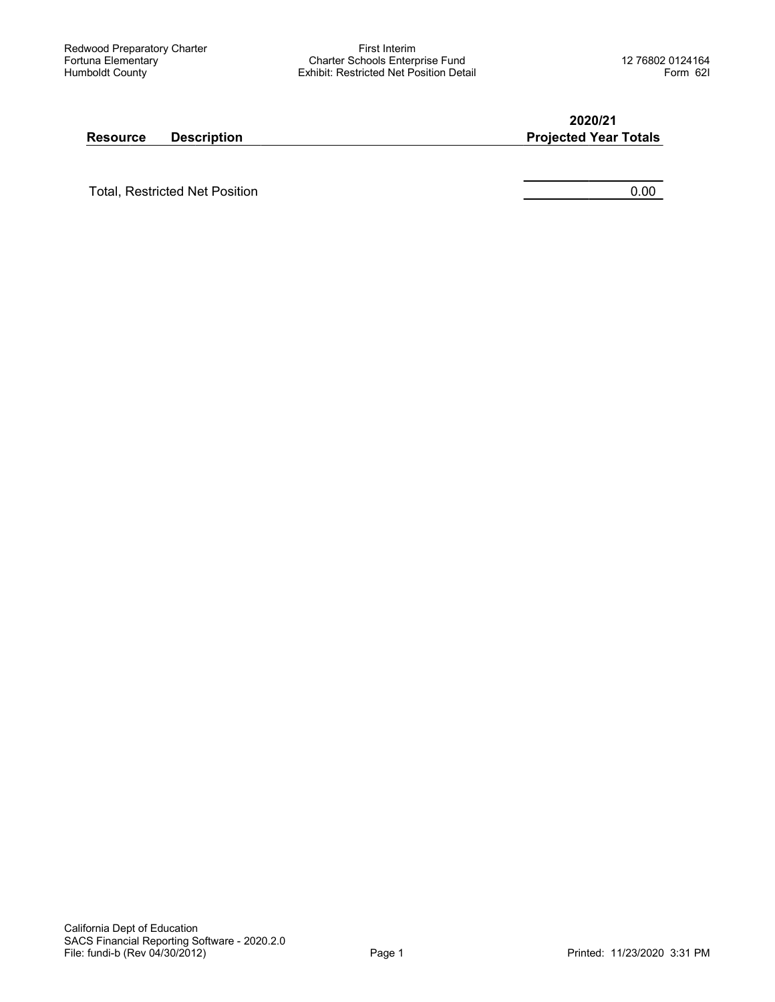First Interim Charter Schools Enterprise Fund Exhibit: Restricted Net Position Detail

2020/21

#### Resource Description **Projected Year Totals**

Total, Restricted Net Position **0.00** and 0.00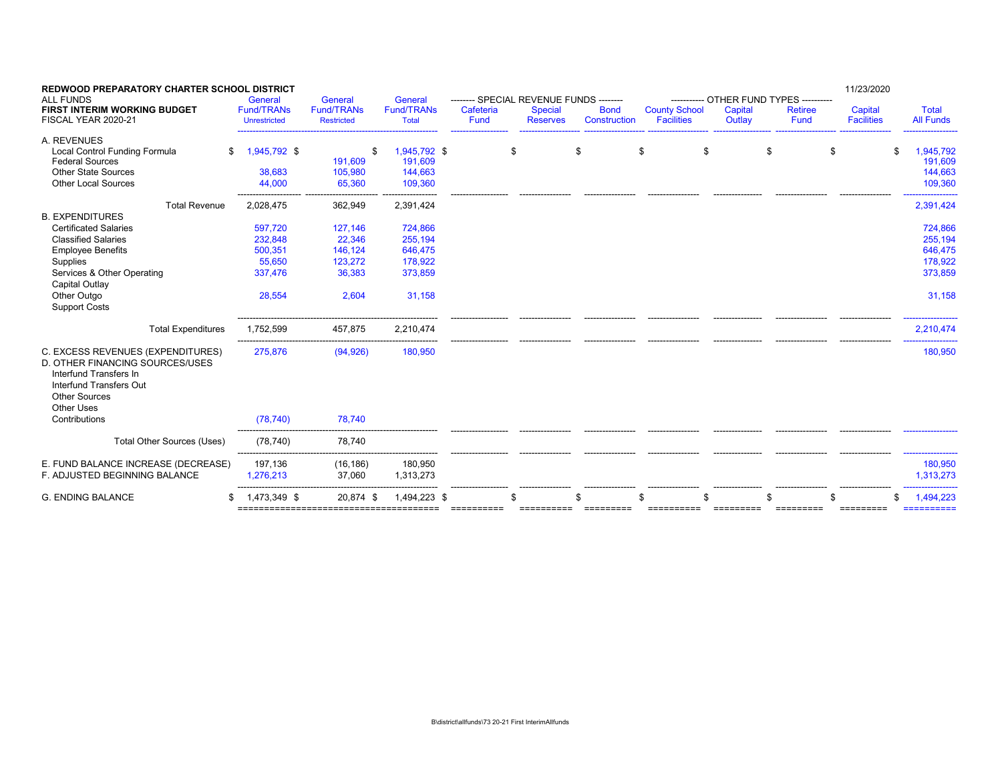| <b>REDWOOD PREPARATORY CHARTER SCHOOL DISTRICT</b><br><b>ALL FUNDS</b>                                                                                                                                              | General                                                      | General                                                    | General                                                       |                   | -------- SPECIAL REVENUE FUNDS -------- |                             |                                           | ----------- OTHER FUND TYPES ---------- |                        | 11/23/2020                   |                                                               |
|---------------------------------------------------------------------------------------------------------------------------------------------------------------------------------------------------------------------|--------------------------------------------------------------|------------------------------------------------------------|---------------------------------------------------------------|-------------------|-----------------------------------------|-----------------------------|-------------------------------------------|-----------------------------------------|------------------------|------------------------------|---------------------------------------------------------------|
| <b>FIRST INTERIM WORKING BUDGET</b><br>FISCAL YEAR 2020-21                                                                                                                                                          | <b>Fund/TRANs</b><br><b>Unrestricted</b>                     | <b>Fund/TRANs</b><br><b>Restricted</b>                     | <b>Fund/TRANs</b><br><b>Total</b>                             | Cafeteria<br>Fund | <b>Special</b><br><b>Reserves</b>       | <b>Bond</b><br>Construction | <b>County School</b><br><b>Facilities</b> | Capital<br>Outlay                       | <b>Retiree</b><br>Fund | Capital<br><b>Facilities</b> | <b>Total</b><br><b>All Funds</b>                              |
| A. REVENUES<br>Local Control Funding Formula<br>\$<br><b>Federal Sources</b><br><b>Other State Sources</b><br><b>Other Local Sources</b>                                                                            | 1,945,792 \$<br>38,683<br>44,000                             | \$<br>191,609<br>105,980<br>65,360                         | 1,945,792 \$<br>191,609<br>144,663<br>109,360                 |                   | \$                                      | S                           | \$<br>\$                                  | \$                                      | \$                     |                              | 1,945,792<br>191,609<br>144,663<br>109,360                    |
| <b>Total Revenue</b>                                                                                                                                                                                                | 2,028,475                                                    | 362,949                                                    | 2,391,424                                                     |                   |                                         |                             |                                           |                                         |                        |                              | 2,391,424                                                     |
| <b>B. EXPENDITURES</b><br><b>Certificated Salaries</b><br><b>Classified Salaries</b><br><b>Employee Benefits</b><br>Supplies<br>Services & Other Operating<br>Capital Outlay<br>Other Outgo<br><b>Support Costs</b> | 597,720<br>232,848<br>500,351<br>55.650<br>337,476<br>28,554 | 127,146<br>22,346<br>146,124<br>123,272<br>36,383<br>2,604 | 724,866<br>255,194<br>646,475<br>178.922<br>373,859<br>31,158 |                   |                                         |                             |                                           |                                         |                        |                              | 724,866<br>255,194<br>646,475<br>178.922<br>373,859<br>31,158 |
| <b>Total Expenditures</b>                                                                                                                                                                                           | 1,752,599                                                    | 457,875                                                    | 2,210,474                                                     |                   |                                         |                             |                                           |                                         |                        |                              | 2,210,474                                                     |
| C. EXCESS REVENUES (EXPENDITURES)<br>D. OTHER FINANCING SOURCES/USES<br>Interfund Transfers In<br>Interfund Transfers Out<br><b>Other Sources</b><br>Other Uses<br>Contributions                                    | 275,876<br>(78, 740)                                         | (94, 926)<br>78,740                                        | 180,950                                                       |                   |                                         |                             |                                           |                                         |                        |                              | 180,950                                                       |
|                                                                                                                                                                                                                     |                                                              |                                                            |                                                               |                   |                                         |                             |                                           |                                         |                        |                              |                                                               |
| <b>Total Other Sources (Uses)</b>                                                                                                                                                                                   | (78, 740)                                                    | 78,740                                                     |                                                               |                   |                                         |                             |                                           |                                         |                        |                              |                                                               |
| E. FUND BALANCE INCREASE (DECREASE)<br>F. ADJUSTED BEGINNING BALANCE                                                                                                                                                | 197,136<br>1,276,213                                         | (16, 186)<br>37,060                                        | 180,950<br>1,313,273                                          |                   |                                         |                             |                                           |                                         |                        |                              | 180,950<br>1,313,273                                          |
| <b>G. ENDING BALANCE</b>                                                                                                                                                                                            | 1,473,349 \$<br>$=$ = = = = = = = =                          | 20,874 \$                                                  | 1,494,223 \$                                                  |                   |                                         |                             |                                           |                                         |                        | =========                    | 1,494,223                                                     |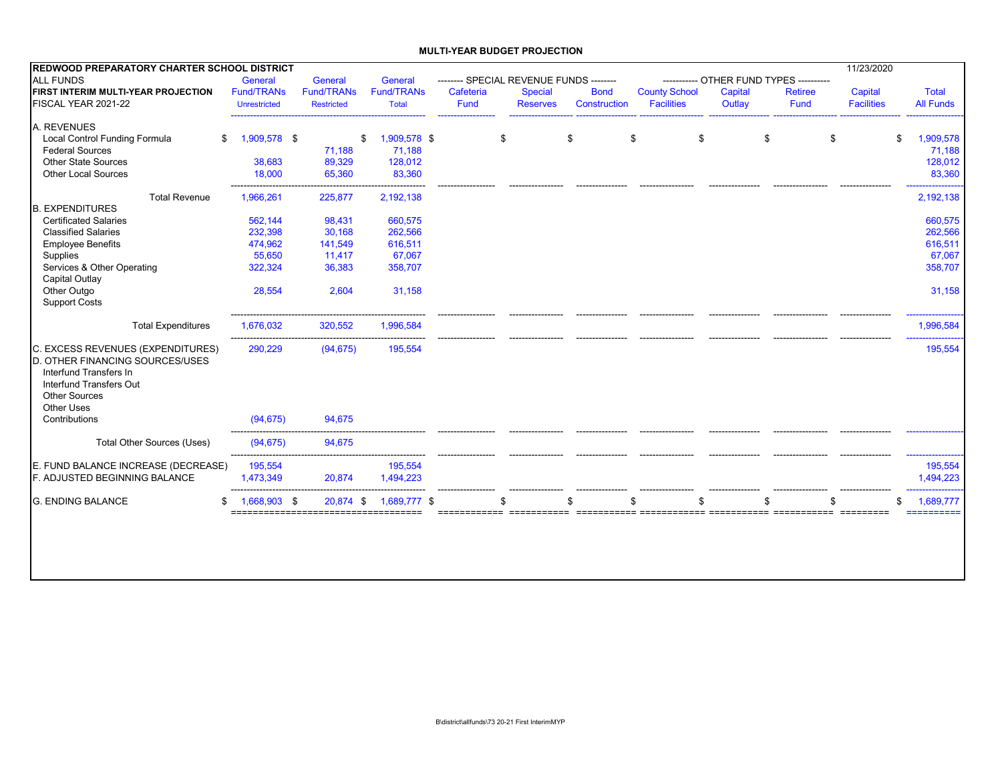#### **MULTI-YEAR BUDGET PROJECTION**

| REDWOOD PREPARATORY CHARTER SCHOOL DISTRICT                                                                                |                                  |                   |                      |                                         |                 |              |                      |                                         |                | 11/23/2020        |                      |
|----------------------------------------------------------------------------------------------------------------------------|----------------------------------|-------------------|----------------------|-----------------------------------------|-----------------|--------------|----------------------|-----------------------------------------|----------------|-------------------|----------------------|
| <b>ALL FUNDS</b>                                                                                                           | General                          | General           | General              | -------- SPECIAL REVENUE FUNDS -------- |                 |              |                      | ----------- OTHER FUND TYPES ---------- |                |                   |                      |
| FIRST INTERIM MULTI-YEAR PROJECTION                                                                                        | <b>Fund/TRANs</b>                | <b>Fund/TRANs</b> | <b>Fund/TRANs</b>    | Cafeteria                               | <b>Special</b>  | <b>Bond</b>  | <b>County School</b> | Capital                                 | <b>Retiree</b> | Capital           | Total                |
| FISCAL YEAR 2021-22                                                                                                        | Unrestricted                     | <b>Restricted</b> | <b>Total</b>         | <b>Fund</b>                             | <b>Reserves</b> | Construction | <b>Facilities</b>    | Outlay                                  | Fund           | <b>Facilities</b> | <b>All Funds</b>     |
| A. REVENUES                                                                                                                |                                  |                   |                      |                                         |                 |              |                      |                                         |                |                   |                      |
| Local Control Funding Formula<br>\$                                                                                        | 1,909,578 \$                     | \$                | 1,909,578 \$         | \$                                      |                 | \$           | \$<br>\$             | \$                                      | \$             |                   | 1,909,578<br>\$      |
| <b>Federal Sources</b>                                                                                                     |                                  | 71,188            | 71,188               |                                         |                 |              |                      |                                         |                |                   | 71,188               |
| <b>Other State Sources</b>                                                                                                 | 38,683                           | 89,329            | 128,012              |                                         |                 |              |                      |                                         |                |                   | 128,012              |
| <b>Other Local Sources</b>                                                                                                 | 18,000                           | 65,360            | 83,360               |                                         |                 |              |                      |                                         |                |                   | 83,360               |
| <b>Total Revenue</b>                                                                                                       | 1,966,261                        | 225,877           | 2,192,138            |                                         |                 |              |                      |                                         |                |                   | 2,192,138            |
| <b>B. EXPENDITURES</b>                                                                                                     |                                  |                   |                      |                                         |                 |              |                      |                                         |                |                   |                      |
| <b>Certificated Salaries</b>                                                                                               | 562,144                          | 98,431            | 660,575              |                                         |                 |              |                      |                                         |                |                   | 660,575              |
| <b>Classified Salaries</b>                                                                                                 | 232,398                          | 30,168            | 262,566              |                                         |                 |              |                      |                                         |                |                   | 262,566              |
| <b>Employee Benefits</b>                                                                                                   | 474,962                          | 141,549           | 616,511              |                                         |                 |              |                      |                                         |                |                   | 616,511              |
| Supplies                                                                                                                   | 55,650                           | 11,417            | 67,067               |                                         |                 |              |                      |                                         |                |                   | 67,067               |
| Services & Other Operating                                                                                                 | 322,324                          | 36,383            | 358,707              |                                         |                 |              |                      |                                         |                |                   | 358,707              |
| <b>Capital Outlay</b>                                                                                                      |                                  |                   |                      |                                         |                 |              |                      |                                         |                |                   |                      |
| Other Outgo                                                                                                                | 28,554                           | 2,604             | 31,158               |                                         |                 |              |                      |                                         |                |                   | 31,158               |
| <b>Support Costs</b>                                                                                                       |                                  |                   |                      |                                         |                 |              |                      |                                         |                |                   |                      |
| <b>Total Expenditures</b>                                                                                                  | 1,676,032                        | 320,552           | 1,996,584            |                                         |                 |              |                      |                                         |                |                   | 1,996,584            |
| C. EXCESS REVENUES (EXPENDITURES)                                                                                          | 290,229                          | (94, 675)         | 195,554              |                                         |                 |              |                      |                                         |                |                   | 195,554              |
| D. OTHER FINANCING SOURCES/USES<br>Interfund Transfers In<br>Interfund Transfers Out<br><b>Other Sources</b><br>Other Uses |                                  |                   |                      |                                         |                 |              |                      |                                         |                |                   |                      |
| Contributions                                                                                                              | (94, 675)                        | 94,675            |                      |                                         |                 |              |                      |                                         |                |                   |                      |
| Total Other Sources (Uses)                                                                                                 | (94, 675)                        | 94,675            |                      |                                         |                 |              |                      |                                         |                |                   |                      |
|                                                                                                                            |                                  |                   |                      |                                         |                 |              |                      |                                         |                |                   |                      |
| E. FUND BALANCE INCREASE (DECREASE)<br><b>F. ADJUSTED BEGINNING BALANCE</b>                                                | 195,554<br>1,473,349             | 20,874            | 195,554<br>1,494,223 |                                         |                 |              |                      |                                         |                |                   | 195,554<br>1,494,223 |
|                                                                                                                            |                                  |                   |                      |                                         |                 |              |                      |                                         |                |                   |                      |
| <b>G. ENDING BALANCE</b>                                                                                                   | 1,668,903 \$<br>---------------- | $20,874$ \$       | 1,689,777 \$         |                                         |                 |              |                      |                                         |                |                   | 1,689,777<br>\$      |
|                                                                                                                            |                                  |                   |                      |                                         |                 |              |                      |                                         |                |                   | :==========          |
|                                                                                                                            |                                  |                   |                      |                                         |                 |              |                      |                                         |                |                   |                      |
|                                                                                                                            |                                  |                   |                      |                                         |                 |              |                      |                                         |                |                   |                      |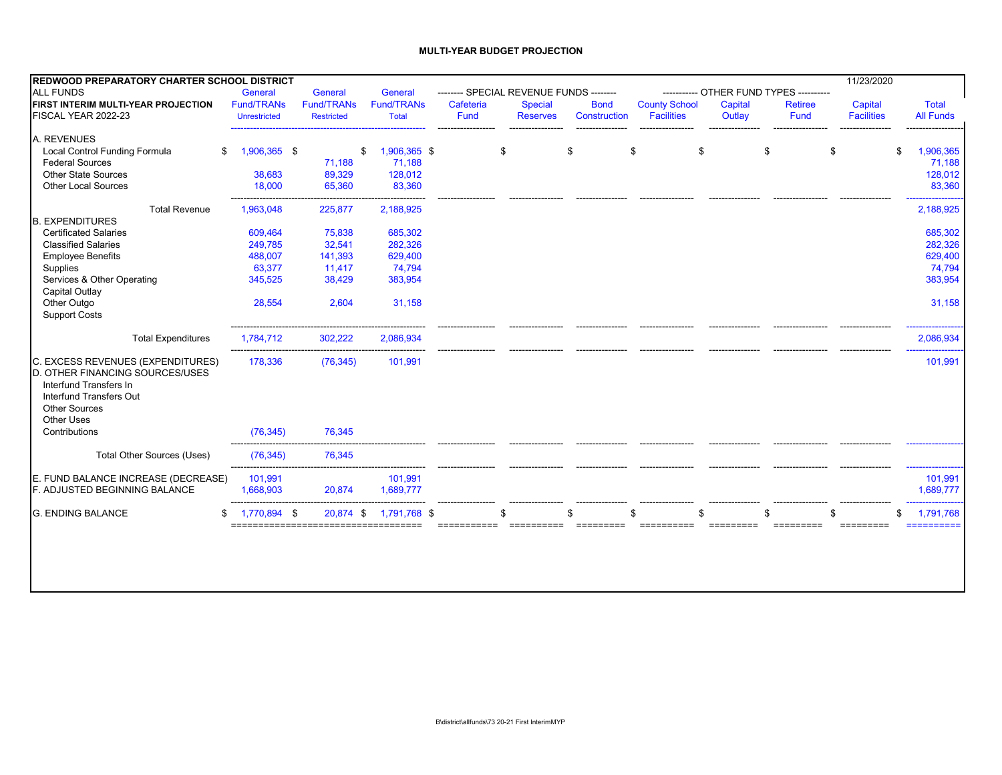#### **MULTI-YEAR BUDGET PROJECTION**

| <b>REDWOOD PREPARATORY CHARTER SCHOOL DISTRICT</b>                                                                                |                     |                   |                   |           |                 |                                         |                      |         |                                         | 11/23/2020        |                               |
|-----------------------------------------------------------------------------------------------------------------------------------|---------------------|-------------------|-------------------|-----------|-----------------|-----------------------------------------|----------------------|---------|-----------------------------------------|-------------------|-------------------------------|
| <b>ALL FUNDS</b>                                                                                                                  | General             | General           | General           |           |                 | -------- SPECIAL REVENUE FUNDS -------- |                      |         | ----------- OTHER FUND TYPES ---------- |                   |                               |
| FIRST INTERIM MULTI-YEAR PROJECTION                                                                                               | <b>Fund/TRANs</b>   | <b>Fund/TRANs</b> | <b>Fund/TRANs</b> | Cafeteria | <b>Special</b>  | <b>Bond</b>                             | <b>County School</b> | Capital | <b>Retiree</b>                          | Capital           | <b>Total</b>                  |
| FISCAL YEAR 2022-23                                                                                                               | <b>Unrestricted</b> | <b>Restricted</b> | <b>Total</b>      | Fund      | <b>Reserves</b> | Construction                            | <b>Facilities</b>    | Outlay  | Fund                                    | <b>Facilities</b> | <b>All Funds</b>              |
| A. REVENUES                                                                                                                       |                     |                   |                   |           |                 |                                         |                      |         |                                         |                   |                               |
| Local Control Funding Formula<br>\$                                                                                               | 1,906,365 \$        | \$                | 1,906,365 \$      |           | \$              | \$                                      | \$                   | \$      | \$                                      | \$                | 1,906,365<br>\$               |
| <b>Federal Sources</b>                                                                                                            |                     | 71,188            | 71,188            |           |                 |                                         |                      |         |                                         |                   | 71,188                        |
| <b>Other State Sources</b>                                                                                                        | 38,683              | 89,329            | 128,012           |           |                 |                                         |                      |         |                                         |                   | 128,012                       |
| <b>Other Local Sources</b>                                                                                                        | 18,000              | 65,360            | 83,360            |           |                 |                                         |                      |         |                                         |                   | 83,360                        |
| <b>Total Revenue</b>                                                                                                              | 1,963,048           | 225,877           | 2,188,925         |           |                 |                                         |                      |         |                                         |                   | 2,188,925                     |
| <b>B. EXPENDITURES</b>                                                                                                            |                     |                   |                   |           |                 |                                         |                      |         |                                         |                   |                               |
| <b>Certificated Salaries</b>                                                                                                      | 609,464             | 75,838            | 685,302           |           |                 |                                         |                      |         |                                         |                   | 685,302                       |
| <b>Classified Salaries</b>                                                                                                        | 249,785             | 32,541            | 282,326           |           |                 |                                         |                      |         |                                         |                   | 282,326                       |
| <b>Employee Benefits</b>                                                                                                          | 488,007             | 141,393           | 629,400           |           |                 |                                         |                      |         |                                         |                   | 629,400                       |
| Supplies                                                                                                                          | 63,377              | 11,417            | 74,794            |           |                 |                                         |                      |         |                                         |                   | 74,794                        |
| Services & Other Operating                                                                                                        | 345,525             | 38,429            | 383,954           |           |                 |                                         |                      |         |                                         |                   | 383,954                       |
| Capital Outlay                                                                                                                    |                     |                   |                   |           |                 |                                         |                      |         |                                         |                   |                               |
| Other Outgo                                                                                                                       | 28,554              | 2,604             | 31,158            |           |                 |                                         |                      |         |                                         |                   | 31,158                        |
| <b>Support Costs</b>                                                                                                              |                     |                   |                   |           |                 |                                         |                      |         |                                         |                   |                               |
| <b>Total Expenditures</b>                                                                                                         | 1,784,712           | 302,222           | 2,086,934         |           |                 |                                         |                      |         |                                         |                   | 2,086,934                     |
| C. EXCESS REVENUES (EXPENDITURES)                                                                                                 | 178,336             | (76, 345)         | 101,991           |           |                 |                                         |                      |         |                                         |                   | 101,991                       |
| <b>D. OTHER FINANCING SOURCES/USES</b><br>Interfund Transfers In<br>Interfund Transfers Out<br><b>Other Sources</b><br>Other Uses |                     |                   |                   |           |                 |                                         |                      |         |                                         |                   |                               |
| Contributions                                                                                                                     | (76, 345)           | 76,345            |                   |           |                 |                                         |                      |         |                                         |                   |                               |
| Total Other Sources (Uses)                                                                                                        | (76, 345)           | 76,345            |                   |           |                 |                                         |                      |         |                                         |                   |                               |
| E. FUND BALANCE INCREASE (DECREASE)                                                                                               | 101,991             |                   | 101,991           |           |                 |                                         |                      |         |                                         |                   | 101,991                       |
| F. ADJUSTED BEGINNING BALANCE                                                                                                     | 1,668,903           | 20,874            | 1,689,777         |           |                 |                                         |                      |         |                                         |                   | 1,689,777                     |
| <b>G. ENDING BALANCE</b><br>\$                                                                                                    | 1,770,894 \$        | 20,874 \$         | 1,791,768 \$      |           |                 |                                         |                      |         |                                         |                   | 1,791,768<br>\$<br>========== |
|                                                                                                                                   |                     |                   |                   |           |                 |                                         |                      |         |                                         |                   |                               |